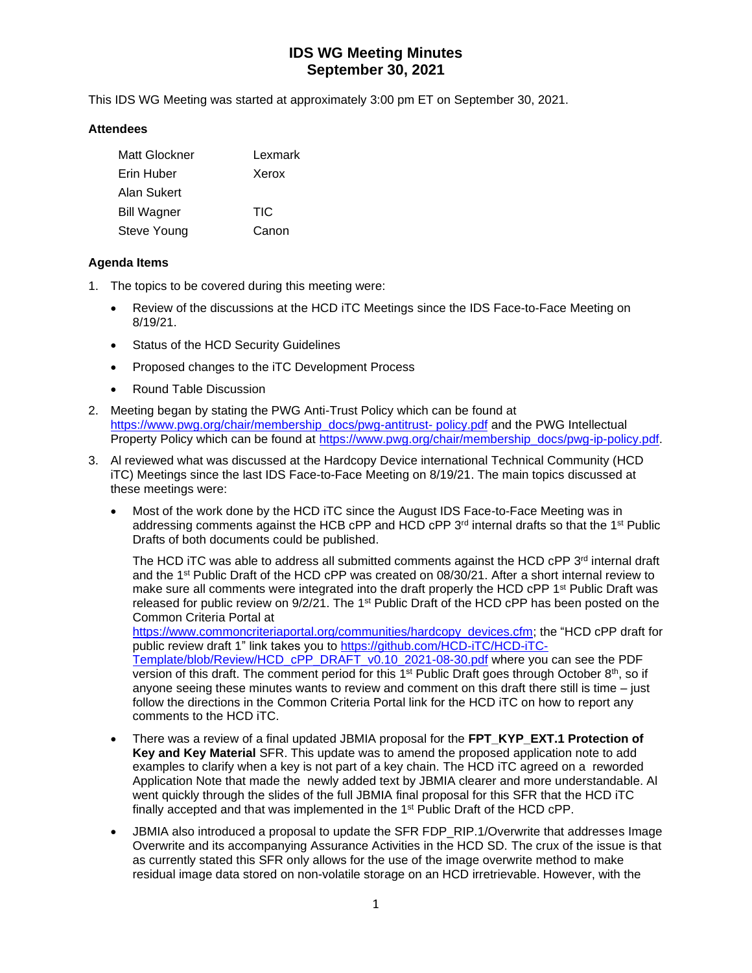This IDS WG Meeting was started at approximately 3:00 pm ET on September 30, 2021.

#### **Attendees**

| Matt Glockner      | Lexmark |
|--------------------|---------|
| Erin Huber         | Xerox   |
| Alan Sukert        |         |
| <b>Bill Wagner</b> | TIC     |
| Steve Young        | Canon   |

### **Agenda Items**

- 1. The topics to be covered during this meeting were:
	- Review of the discussions at the HCD iTC Meetings since the IDS Face-to-Face Meeting on 8/19/21.
	- Status of the HCD Security Guidelines
	- Proposed changes to the iTC Development Process
	- Round Table Discussion
- 2. Meeting began by stating the PWG Anti-Trust Policy which can be found at [https://www.pwg.org/chair/membership\\_docs/pwg-antitrust-](https://www.pwg.org/chair/membership_docs/pwg-antitrust-%20policy.pdf) policy.pdf and the PWG Intellectual Property Policy which can be found at [https://www.pwg.org/chair/membership\\_docs/pwg-ip-policy.pdf.](https://www.pwg.org/chair/membership_docs/pwg-ip-policy.pdf)
- 3. Al reviewed what was discussed at the Hardcopy Device international Technical Community (HCD iTC) Meetings since the last IDS Face-to-Face Meeting on 8/19/21. The main topics discussed at these meetings were:
	- Most of the work done by the HCD iTC since the August IDS Face-to-Face Meeting was in addressing comments against the HCB cPP and HCD cPP  $3<sup>rd</sup>$  internal drafts so that the 1<sup>st</sup> Public Drafts of both documents could be published.

The HCD iTC was able to address all submitted comments against the HCD  $\text{cPP } 3^{\text{rd}}$  internal draft and the 1<sup>st</sup> Public Draft of the HCD cPP was created on 08/30/21. After a short internal review to make sure all comments were integrated into the draft properly the HCD cPP 1<sup>st</sup> Public Draft was released for public review on 9/2/21. The 1<sup>st</sup> Public Draft of the HCD cPP has been posted on the Common Criteria Portal at

[https://www.commoncriteriaportal.org/communities/hardcopy\\_devices.cfm;](https://www.commoncriteriaportal.org/communities/hardcopy_devices.cfm) the "HCD cPP draft for public review draft 1" link takes you to [https://github.com/HCD-iTC/HCD-iTC-](https://github.com/HCD-iTC/HCD-iTC-Template/blob/Review/HCD_cPP_DRAFT_v0.10_2021-08-30.pdf)[Template/blob/Review/HCD\\_cPP\\_DRAFT\\_v0.10\\_2021-08-30.pdf](https://github.com/HCD-iTC/HCD-iTC-Template/blob/Review/HCD_cPP_DRAFT_v0.10_2021-08-30.pdf) where you can see the PDF version of this draft. The comment period for this 1<sup>st</sup> Public Draft goes through October 8<sup>th</sup>, so if anyone seeing these minutes wants to review and comment on this draft there still is time  $-$  just

- follow the directions in the Common Criteria Portal link for the HCD iTC on how to report any comments to the HCD iTC. • There was a review of a final updated JBMIA proposal for the **FPT\_KYP\_EXT.1 Protection of Key and Key Material** SFR. This update was to amend the proposed application note to add examples to clarify when a key is not part of a key chain. The HCD iTC agreed on a reworded
- Application Note that made the newly added text by JBMIA clearer and more understandable. Al went quickly through the slides of the full JBMIA final proposal for this SFR that the HCD iTC finally accepted and that was implemented in the 1<sup>st</sup> Public Draft of the HCD cPP.
- JBMIA also introduced a proposal to update the SFR FDP\_RIP.1/Overwrite that addresses Image Overwrite and its accompanying Assurance Activities in the HCD SD. The crux of the issue is that as currently stated this SFR only allows for the use of the image overwrite method to make residual image data stored on non-volatile storage on an HCD irretrievable. However, with the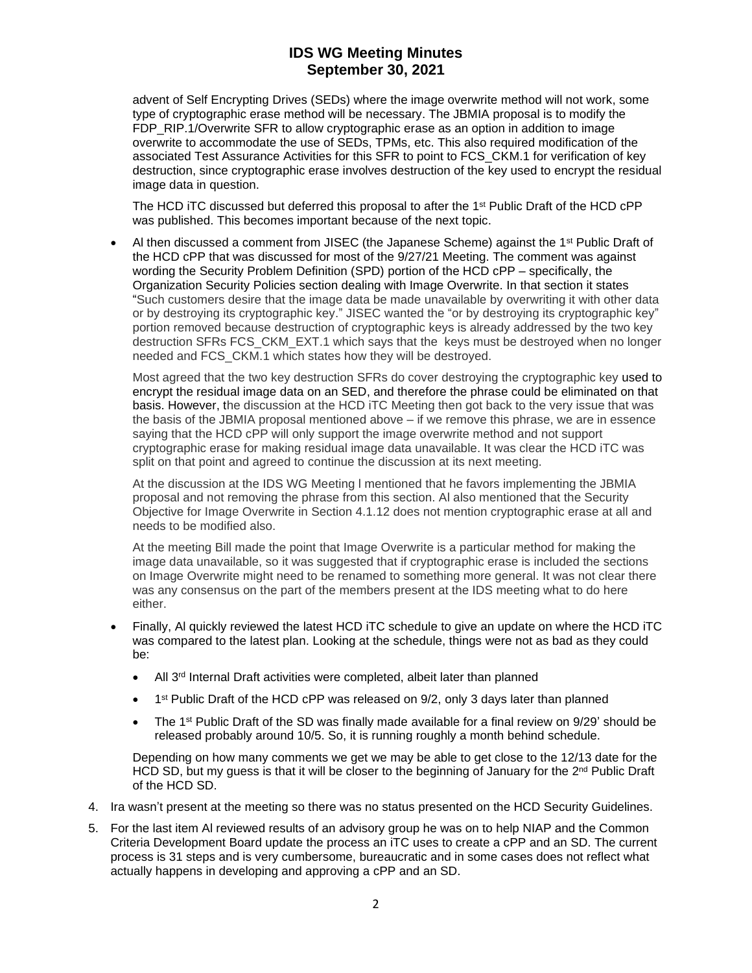advent of Self Encrypting Drives (SEDs) where the image overwrite method will not work, some type of cryptographic erase method will be necessary. The JBMIA proposal is to modify the FDP\_RIP.1/Overwrite SFR to allow cryptographic erase as an option in addition to image overwrite to accommodate the use of SEDs, TPMs, etc. This also required modification of the associated Test Assurance Activities for this SFR to point to FCS\_CKM.1 for verification of key destruction, since cryptographic erase involves destruction of the key used to encrypt the residual image data in question.

The HCD ITC discussed but deferred this proposal to after the 1<sup>st</sup> Public Draft of the HCD cPP was published. This becomes important because of the next topic.

Al then discussed a comment from JISEC (the Japanese Scheme) against the 1<sup>st</sup> Public Draft of the HCD cPP that was discussed for most of the 9/27/21 Meeting. The comment was against wording the Security Problem Definition (SPD) portion of the HCD cPP – specifically, the Organization Security Policies section dealing with Image Overwrite. In that section it states "Such customers desire that the image data be made unavailable by overwriting it with other data or by destroying its cryptographic key." JISEC wanted the "or by destroying its cryptographic key" portion removed because destruction of cryptographic keys is already addressed by the two key destruction SFRs FCS\_CKM\_EXT.1 which says that the keys must be destroyed when no longer needed and FCS\_CKM.1 which states how they will be destroyed.

Most agreed that the two key destruction SFRs do cover destroying the cryptographic key used to encrypt the residual image data on an SED, and therefore the phrase could be eliminated on that basis. However, the discussion at the HCD iTC Meeting then got back to the very issue that was the basis of the JBMIA proposal mentioned above – if we remove this phrase, we are in essence saying that the HCD cPP will only support the image overwrite method and not support cryptographic erase for making residual image data unavailable. It was clear the HCD iTC was split on that point and agreed to continue the discussion at its next meeting.

At the discussion at the IDS WG Meeting l mentioned that he favors implementing the JBMIA proposal and not removing the phrase from this section. Al also mentioned that the Security Objective for Image Overwrite in Section 4.1.12 does not mention cryptographic erase at all and needs to be modified also.

At the meeting Bill made the point that Image Overwrite is a particular method for making the image data unavailable, so it was suggested that if cryptographic erase is included the sections on Image Overwrite might need to be renamed to something more general. It was not clear there was any consensus on the part of the members present at the IDS meeting what to do here either.

- Finally, Al quickly reviewed the latest HCD iTC schedule to give an update on where the HCD iTC was compared to the latest plan. Looking at the schedule, things were not as bad as they could be:
	- All 3<sup>rd</sup> Internal Draft activities were completed, albeit later than planned
	- 1<sup>st</sup> Public Draft of the HCD cPP was released on 9/2, only 3 days later than planned
	- The 1<sup>st</sup> Public Draft of the SD was finally made available for a final review on  $9/29'$  should be released probably around 10/5. So, it is running roughly a month behind schedule.

Depending on how many comments we get we may be able to get close to the 12/13 date for the HCD SD, but my guess is that it will be closer to the beginning of January for the  $2<sup>nd</sup>$  Public Draft of the HCD SD.

- 4. Ira wasn't present at the meeting so there was no status presented on the HCD Security Guidelines.
- 5. For the last item Al reviewed results of an advisory group he was on to help NIAP and the Common Criteria Development Board update the process an iTC uses to create a cPP and an SD. The current process is 31 steps and is very cumbersome, bureaucratic and in some cases does not reflect what actually happens in developing and approving a cPP and an SD.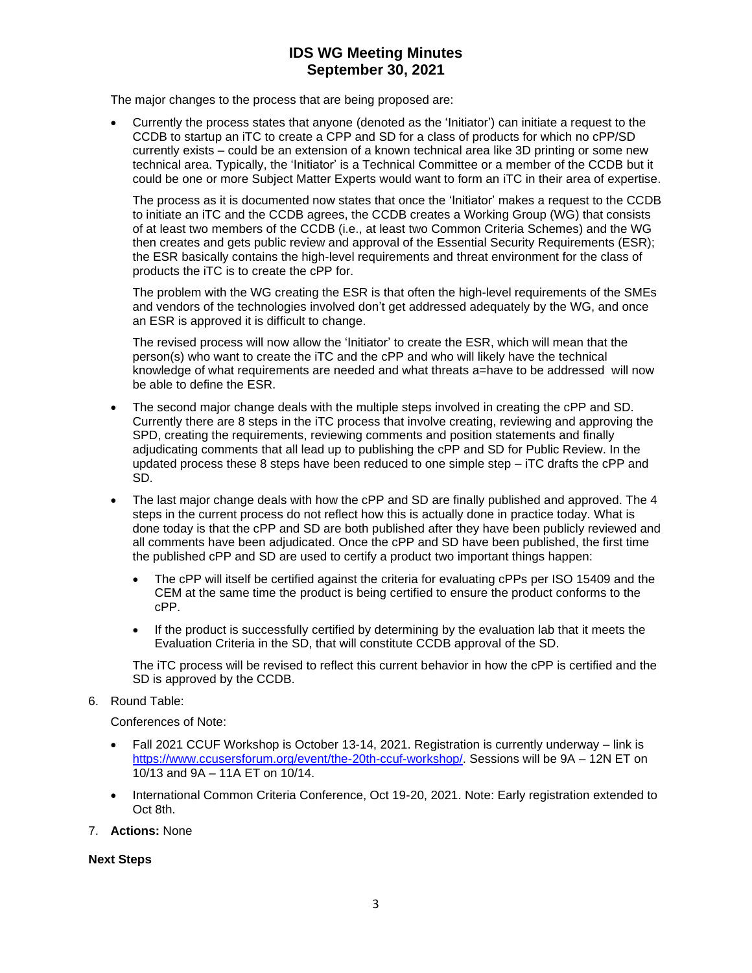The major changes to the process that are being proposed are:

• Currently the process states that anyone (denoted as the 'Initiator') can initiate a request to the CCDB to startup an iTC to create a CPP and SD for a class of products for which no cPP/SD currently exists – could be an extension of a known technical area like 3D printing or some new technical area. Typically, the 'Initiator' is a Technical Committee or a member of the CCDB but it could be one or more Subject Matter Experts would want to form an iTC in their area of expertise.

The process as it is documented now states that once the 'Initiator' makes a request to the CCDB to initiate an iTC and the CCDB agrees, the CCDB creates a Working Group (WG) that consists of at least two members of the CCDB (i.e., at least two Common Criteria Schemes) and the WG then creates and gets public review and approval of the Essential Security Requirements (ESR); the ESR basically contains the high-level requirements and threat environment for the class of products the iTC is to create the cPP for.

The problem with the WG creating the ESR is that often the high-level requirements of the SMEs and vendors of the technologies involved don't get addressed adequately by the WG, and once an ESR is approved it is difficult to change.

The revised process will now allow the 'Initiator' to create the ESR, which will mean that the person(s) who want to create the iTC and the cPP and who will likely have the technical knowledge of what requirements are needed and what threats a=have to be addressed will now be able to define the ESR.

- The second major change deals with the multiple steps involved in creating the cPP and SD. Currently there are 8 steps in the iTC process that involve creating, reviewing and approving the SPD, creating the requirements, reviewing comments and position statements and finally adjudicating comments that all lead up to publishing the cPP and SD for Public Review. In the updated process these 8 steps have been reduced to one simple step – iTC drafts the cPP and SD.
- The last major change deals with how the cPP and SD are finally published and approved. The 4 steps in the current process do not reflect how this is actually done in practice today. What is done today is that the cPP and SD are both published after they have been publicly reviewed and all comments have been adjudicated. Once the cPP and SD have been published, the first time the published cPP and SD are used to certify a product two important things happen:
	- The cPP will itself be certified against the criteria for evaluating cPPs per ISO 15409 and the CEM at the same time the product is being certified to ensure the product conforms to the cPP.
	- If the product is successfully certified by determining by the evaluation lab that it meets the Evaluation Criteria in the SD, that will constitute CCDB approval of the SD.

The iTC process will be revised to reflect this current behavior in how the cPP is certified and the SD is approved by the CCDB.

6. Round Table:

Conferences of Note:

- Fall 2021 CCUF Workshop is October 13-14, 2021. Registration is currently underway link is [https://www.ccusersforum.org/event/the-20th-ccuf-workshop/.](https://www.ccusersforum.org/event/the-20th-ccuf-workshop/) Sessions will be 9A – 12N ET on 10/13 and 9A – 11A ET on 10/14.
- International Common Criteria Conference, Oct 19-20, 2021. Note: Early registration extended to Oct 8th.
- 7. **Actions:** None

**Next Steps**